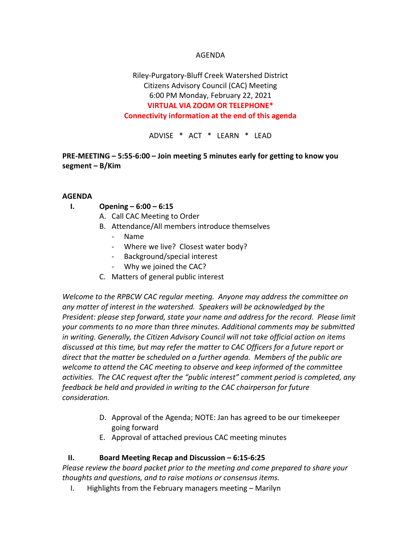### AGENDA

# Riley-Purgatory-Bluff Creek Watershed District Citizens Advisory Council (CAC) Meeting 6:00 PM Monday, February 22, 2021 **VIRTUAL VIA ZOOM OR TELEPHONE\* Connectivity information at the end of this agenda**

ADVISE \* ACT \* LEARN \* LEAD

## **PRE-MEETING – 5:55-6:00 – Join meeting 5 minutes early for getting to know you segment – B/Kim**

#### **AGENDA**

- **I. Opening – 6:00 – 6:15**
	- A. Call CAC Meeting to Order
	- B. Attendance/All members introduce themselves
		- Name
		- Where we live? Closest water body?
		- Background/special interest
		- Why we joined the CAC?
	- C. Matters of general public interest

*Welcome to the RPBCW CAC regular meeting. Anyone may address the committee on any matter of interest in the watershed. Speakers will be acknowledged by the President: please step forward, state your name and address for the record. Please limit your comments to no more than three minutes. Additional comments may be submitted in writing. Generally, the Citizen Advisory Council will not take official action on items discussed at this time, but may refer the matter to CAC Officers for a future report or direct that the matter be scheduled on a further agenda. Members of the public are welcome to attend the CAC meeting to observe and keep informed of the committee activities. The CAC request after the "public interest" comment period is completed, any feedback be held and provided in writing to the CAC chairperson for future consideration.*

- D. Approval of the Agenda; NOTE: Jan has agreed to be our timekeeper going forward
- E. Approval of attached previous CAC meeting minutes

### **II. Board Meeting Recap and Discussion – 6:15-6:25**

*Please review the board packet prior to the meeting and come prepared to share your thoughts and questions, and to raise motions or consensus items.* 

I. Highlights from the February managers meeting – Marilyn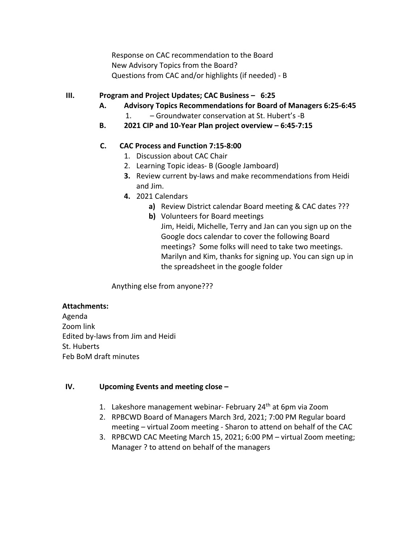Response on CAC recommendation to the Board New Advisory Topics from the Board? Questions from CAC and/or highlights (if needed) - B

## **III. Program and Project Updates; CAC Business – 6:25**

- **A. Advisory Topics Recommendations for Board of Managers 6:25-6:45**
	- 1. Groundwater conservation at St. Hubert's -B
- **B. 2021 CIP and 10-Year Plan project overview – 6:45-7:15**

## **C. CAC Process and Function 7:15-8:00**

- 1. Discussion about CAC Chair
- 2. Learning Topic ideas- B (Google Jamboard)
- **3.** Review current by-laws and make recommendations from Heidi and Jim.
- **4.** 2021 Calendars
	- **a)** Review District calendar Board meeting & CAC dates ???
	- **b)** Volunteers for Board meetings

Jim, Heidi, Michelle, Terry and Jan can you sign up on the Google docs calendar to cover the following Board meetings? Some folks will need to take two meetings. Marilyn and Kim, thanks for signing up. You can sign up in the spreadsheet in the google folder

Anything else from anyone???

### **Attachments:**

Agenda Zoom link Edited by-laws from Jim and Heidi St. Huberts Feb BoM draft minutes

### **IV. Upcoming Events and meeting close –**

- 1. Lakeshore management webinar- February 24<sup>th</sup> at 6pm via Zoom
- 2. RPBCWD Board of Managers March 3rd, 2021; 7:00 PM Regular board meeting – virtual Zoom meeting - Sharon to attend on behalf of the CAC
- 3. RPBCWD CAC Meeting March 15, 2021; 6:00 PM virtual Zoom meeting; Manager ? to attend on behalf of the managers